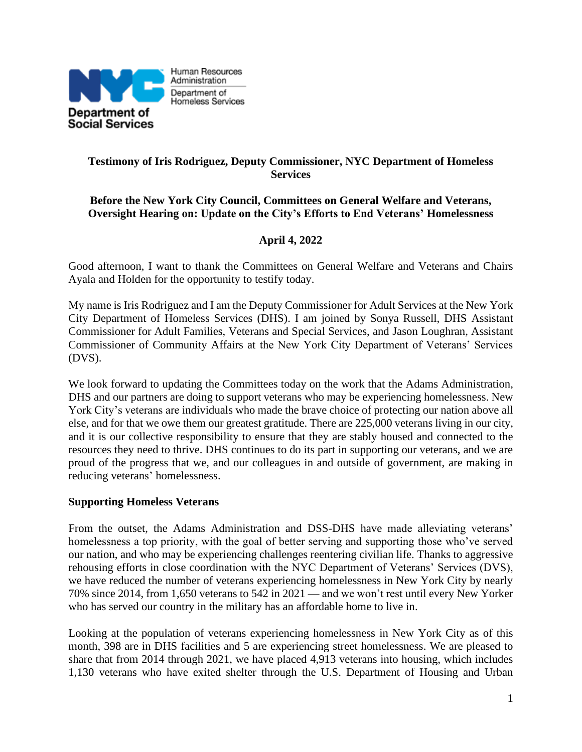

### **Testimony of Iris Rodriguez, Deputy Commissioner, NYC Department of Homeless Services**

### **Before the New York City Council, Committees on General Welfare and Veterans, Oversight Hearing on: Update on the City's Efforts to End Veterans' Homelessness**

## **April 4, 2022**

Good afternoon, I want to thank the Committees on General Welfare and Veterans and Chairs Ayala and Holden for the opportunity to testify today.

My name is Iris Rodriguez and I am the Deputy Commissioner for Adult Services at the New York City Department of Homeless Services (DHS). I am joined by Sonya Russell, DHS Assistant Commissioner for Adult Families, Veterans and Special Services, and Jason Loughran, Assistant Commissioner of Community Affairs at the New York City Department of Veterans' Services (DVS).

We look forward to updating the Committees today on the work that the Adams Administration, DHS and our partners are doing to support veterans who may be experiencing homelessness. New York City's veterans are individuals who made the brave choice of protecting our nation above all else, and for that we owe them our greatest gratitude. There are 225,000 veterans living in our city, and it is our collective responsibility to ensure that they are stably housed and connected to the resources they need to thrive. DHS continues to do its part in supporting our veterans, and we are proud of the progress that we, and our colleagues in and outside of government, are making in reducing veterans' homelessness.

#### **Supporting Homeless Veterans**

From the outset, the Adams Administration and DSS-DHS have made alleviating veterans' homelessness a top priority, with the goal of better serving and supporting those who've served our nation, and who may be experiencing challenges reentering civilian life. Thanks to aggressive rehousing efforts in close coordination with the NYC Department of Veterans' Services (DVS), we have reduced the number of veterans experiencing homelessness in New York City by nearly 70% since 2014, from 1,650 veterans to 542 in 2021 — and we won't rest until every New Yorker who has served our country in the military has an affordable home to live in.

Looking at the population of veterans experiencing homelessness in New York City as of this month, 398 are in DHS facilities and 5 are experiencing street homelessness. We are pleased to share that from 2014 through 2021, we have placed 4,913 veterans into housing, which includes 1,130 veterans who have exited shelter through the U.S. Department of Housing and Urban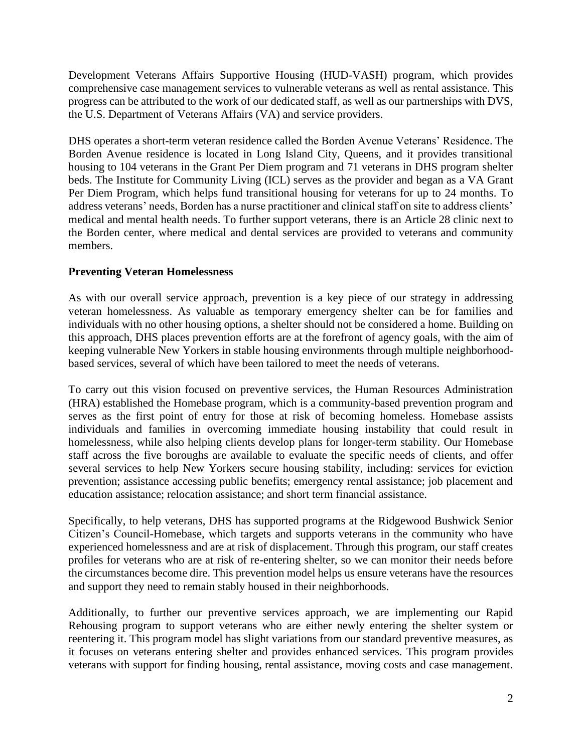Development Veterans Affairs Supportive Housing (HUD-VASH) program, which provides comprehensive case management services to vulnerable veterans as well as rental assistance. This progress can be attributed to the work of our dedicated staff, as well as our partnerships with DVS, the U.S. Department of Veterans Affairs (VA) and service providers.

DHS operates a short-term veteran residence called the Borden Avenue Veterans' Residence. The Borden Avenue residence is located in Long Island City, Queens, and it provides transitional housing to 104 veterans in the Grant Per Diem program and 71 veterans in DHS program shelter beds. The Institute for Community Living (ICL) serves as the provider and began as a VA Grant Per Diem Program, which helps fund transitional housing for veterans for up to 24 months. To address veterans' needs, Borden has a nurse practitioner and clinical staff on site to address clients' medical and mental health needs. To further support veterans, there is an Article 28 clinic next to the Borden center, where medical and dental services are provided to veterans and community members.

### **Preventing Veteran Homelessness**

As with our overall service approach, prevention is a key piece of our strategy in addressing veteran homelessness. As valuable as temporary emergency shelter can be for families and individuals with no other housing options, a shelter should not be considered a home. Building on this approach, DHS places prevention efforts are at the forefront of agency goals, with the aim of keeping vulnerable New Yorkers in stable housing environments through multiple neighborhoodbased services, several of which have been tailored to meet the needs of veterans.

To carry out this vision focused on preventive services, the Human Resources Administration (HRA) established the Homebase program, which is a community-based prevention program and serves as the first point of entry for those at risk of becoming homeless. Homebase assists individuals and families in overcoming immediate housing instability that could result in homelessness, while also helping clients develop plans for longer-term stability. Our Homebase staff across the five boroughs are available to evaluate the specific needs of clients, and offer several services to help New Yorkers secure housing stability, including: services for eviction prevention; assistance accessing public benefits; emergency rental assistance; job placement and education assistance; relocation assistance; and short term financial assistance.

Specifically, to help veterans, DHS has supported programs at the Ridgewood Bushwick Senior Citizen's Council-Homebase, which targets and supports veterans in the community who have experienced homelessness and are at risk of displacement. Through this program, our staff creates profiles for veterans who are at risk of re-entering shelter, so we can monitor their needs before the circumstances become dire. This prevention model helps us ensure veterans have the resources and support they need to remain stably housed in their neighborhoods.

Additionally, to further our preventive services approach, we are implementing our Rapid Rehousing program to support veterans who are either newly entering the shelter system or reentering it. This program model has slight variations from our standard preventive measures, as it focuses on veterans entering shelter and provides enhanced services. This program provides veterans with support for finding housing, rental assistance, moving costs and case management.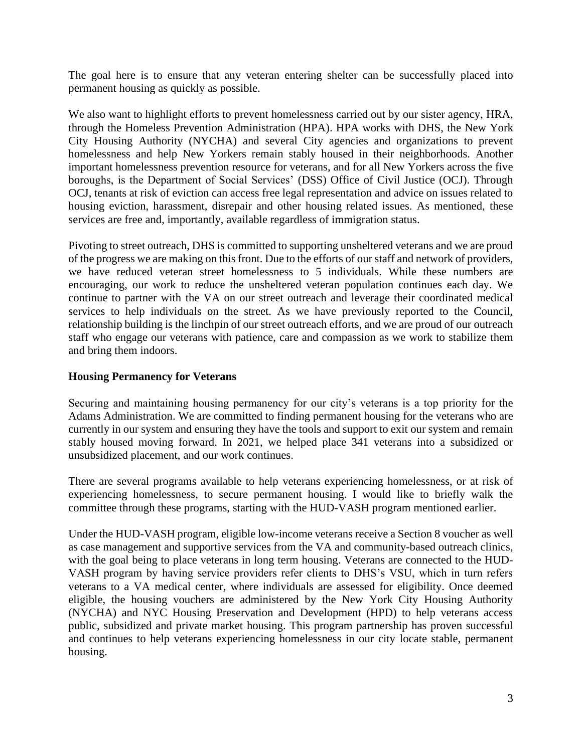The goal here is to ensure that any veteran entering shelter can be successfully placed into permanent housing as quickly as possible.

We also want to highlight efforts to prevent homelessness carried out by our sister agency, HRA, through the Homeless Prevention Administration (HPA). HPA works with DHS, the New York City Housing Authority (NYCHA) and several City agencies and organizations to prevent homelessness and help New Yorkers remain stably housed in their neighborhoods. Another important homelessness prevention resource for veterans, and for all New Yorkers across the five boroughs, is the Department of Social Services' (DSS) Office of Civil Justice (OCJ). Through OCJ, tenants at risk of eviction can access free legal representation and advice on issues related to housing eviction, harassment, disrepair and other housing related issues. As mentioned, these services are free and, importantly, available regardless of immigration status.

Pivoting to street outreach, DHS is committed to supporting unsheltered veterans and we are proud of the progress we are making on this front. Due to the efforts of our staff and network of providers, we have reduced veteran street homelessness to 5 individuals. While these numbers are encouraging, our work to reduce the unsheltered veteran population continues each day. We continue to partner with the VA on our street outreach and leverage their coordinated medical services to help individuals on the street. As we have previously reported to the Council, relationship building is the linchpin of our street outreach efforts, and we are proud of our outreach staff who engage our veterans with patience, care and compassion as we work to stabilize them and bring them indoors.

#### **Housing Permanency for Veterans**

Securing and maintaining housing permanency for our city's veterans is a top priority for the Adams Administration. We are committed to finding permanent housing for the veterans who are currently in our system and ensuring they have the tools and support to exit our system and remain stably housed moving forward. In 2021, we helped place 341 veterans into a subsidized or unsubsidized placement, and our work continues.

There are several programs available to help veterans experiencing homelessness, or at risk of experiencing homelessness, to secure permanent housing. I would like to briefly walk the committee through these programs, starting with the HUD-VASH program mentioned earlier.

Under the HUD-VASH program, eligible low-income veterans receive a Section 8 voucher as well as case management and supportive services from the VA and community-based outreach clinics, with the goal being to place veterans in long term housing. Veterans are connected to the HUD-VASH program by having service providers refer clients to DHS's VSU, which in turn refers veterans to a VA medical center, where individuals are assessed for eligibility. Once deemed eligible, the housing vouchers are administered by the New York City Housing Authority (NYCHA) and NYC Housing Preservation and Development (HPD) to help veterans access public, subsidized and private market housing. This program partnership has proven successful and continues to help veterans experiencing homelessness in our city locate stable, permanent housing.